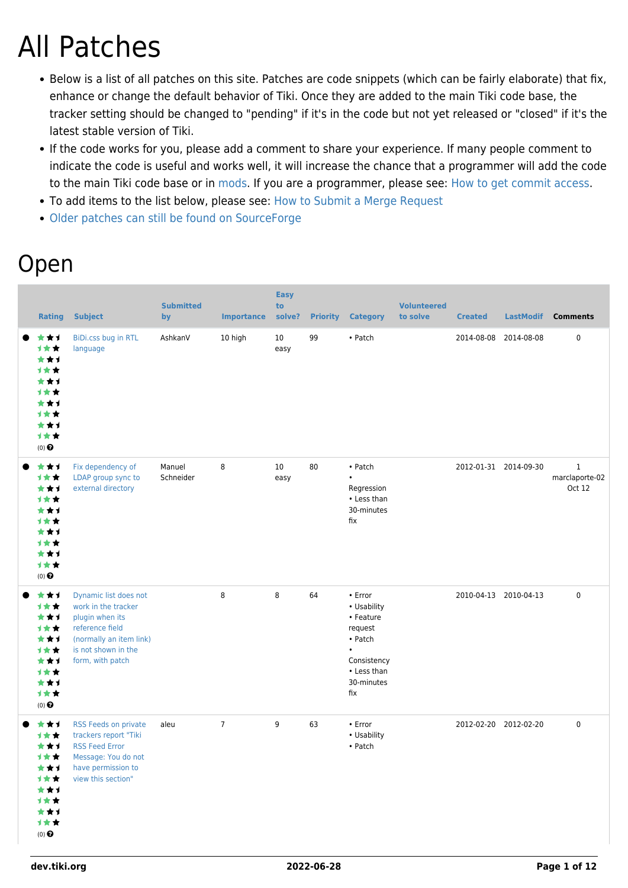# All Patches

- Below is a list of all patches on this site. Patches are code snippets (which can be fairly elaborate) that fix, enhance or change the default behavior of Tiki. Once they are added to the main Tiki code base, the tracker setting should be changed to "pending" if it's in the code but not yet released or "closed" if it's the latest stable version of Tiki.
- If the code works for you, please add a comment to share your experience. If many people comment to indicate the code is useful and works well, it will increase the chance that a programmer will add the code to the main Tiki code base or in [mods](https://dev.tiki.org/Mods). If you are a programmer, please see: [How to get commit access.](https://dev.tiki.org/How-to-get-commit-access)
- To add items to the list below, please see: [How to Submit a Merge Request](https://dev.tiki.org/How-to-Submit-a-Merge-Request)
- [Older patches can still be found on SourceForge](http://sourceforge.net/tracker/?atid=506848&group_id=64258&func=browse)

### Open

| <b>Rating</b>                                                                               | <b>Subject</b>                                                                                                                                           | <b>Submitted</b><br>by | <b>Importance</b> | <b>Easy</b><br>to<br>solve? | <b>Priority</b> | <b>Category</b>                                                                                                                 | <b>Volunteered</b><br>to solve | <b>Created</b>        | <b>LastModif</b>      | <b>Comments</b>                          |
|---------------------------------------------------------------------------------------------|----------------------------------------------------------------------------------------------------------------------------------------------------------|------------------------|-------------------|-----------------------------|-----------------|---------------------------------------------------------------------------------------------------------------------------------|--------------------------------|-----------------------|-----------------------|------------------------------------------|
| ***<br>计女女<br>***<br>计女女<br>★★1<br>计女女<br>***<br>1★★<br>***<br>1★★<br>$(0)$ $\Theta$        | BiDi.css bug in RTL<br>language                                                                                                                          | AshkanV                | 10 high           | 10<br>easy                  | 99              | • Patch                                                                                                                         |                                | 2014-08-08 2014-08-08 |                       | $\pmb{0}$                                |
| ***<br>1★★<br>***<br>1★★<br>***<br>计女女<br>***<br><b>1★★</b><br>***<br>计女女<br>$(0)$ $\Theta$ | Fix dependency of<br>LDAP group sync to<br>external directory                                                                                            | Manuel<br>Schneider    | 8                 | 10<br>easy                  | 80              | • Patch<br>$\bullet$<br>Regression<br>• Less than<br>30-minutes<br>fix                                                          |                                |                       | 2012-01-31 2014-09-30 | $\mathbf{1}$<br>marclaporte-02<br>Oct 12 |
| ***<br>1★★<br>***<br>1★★<br>***<br>1★★<br>***<br>1★★<br>***<br>1★★<br>$(0)$ $\odot$         | Dynamic list does not<br>work in the tracker<br>plugin when its<br>reference field<br>(normally an item link)<br>is not shown in the<br>form, with patch |                        | 8                 | 8                           | 64              | $\cdot$ Error<br>• Usability<br>• Feature<br>request<br>• Patch<br>$\bullet$<br>Consistency<br>• Less than<br>30-minutes<br>fix |                                |                       | 2010-04-13 2010-04-13 | 0                                        |
| ***<br>计女女<br>***<br><b>1**</b><br>***<br>1★★<br>***<br>计女女<br>***<br>1★★<br>$(0)$ $\Theta$ | RSS Feeds on private<br>trackers report "Tiki<br><b>RSS Feed Error</b><br>Message: You do not<br>have permission to<br>view this section"                | aleu                   | $\overline{7}$    | 9                           | 63              | $\cdot$ Error<br>• Usability<br>• Patch                                                                                         |                                |                       | 2012-02-20 2012-02-20 | 0                                        |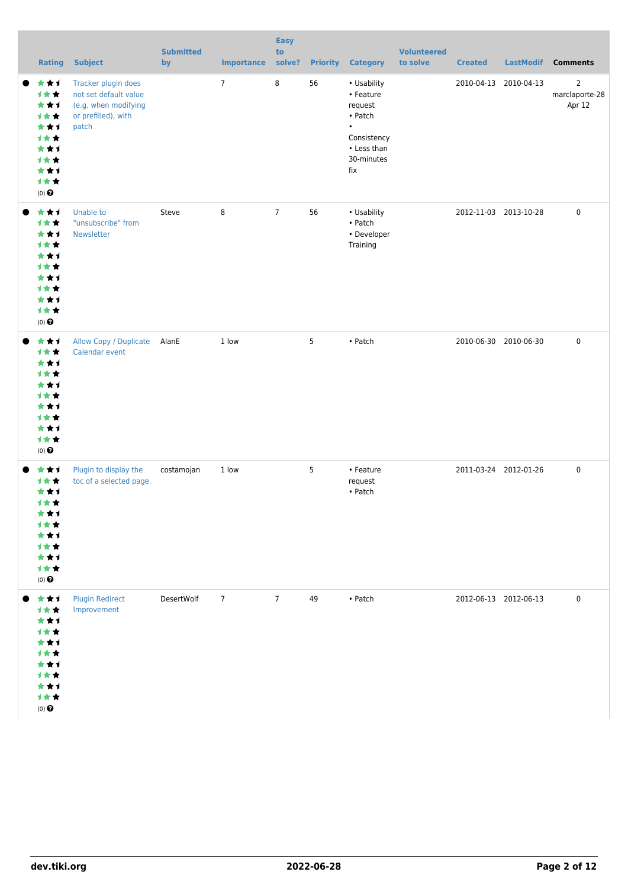| <b>Rating</b>                                                                                        | <b>Subject</b>                                                                                       | <b>Submitted</b><br>by | <b>Importance</b> | <b>Easy</b><br>to<br>solve? | <b>Priority</b> | <b>Category</b>                                                                                                | <b>Volunteered</b><br>to solve | <b>Created</b> | <b>LastModif</b>      | <b>Comments</b>                            |
|------------------------------------------------------------------------------------------------------|------------------------------------------------------------------------------------------------------|------------------------|-------------------|-----------------------------|-----------------|----------------------------------------------------------------------------------------------------------------|--------------------------------|----------------|-----------------------|--------------------------------------------|
| ***<br>1★★<br>***<br>计女女<br>***<br>1★★<br>***<br>计女女<br>***<br>1★★<br>$(0)$ $\odot$                  | Tracker plugin does<br>not set default value<br>(e.g. when modifying<br>or prefilled), with<br>patch |                        | $\overline{7}$    | 8                           | 56              | • Usability<br>• Feature<br>request<br>• Patch<br>$\bullet$<br>Consistency<br>• Less than<br>30-minutes<br>fix |                                |                | 2010-04-13 2010-04-13 | $\overline{2}$<br>marclaporte-28<br>Apr 12 |
| ***<br>1★★<br>***<br>***<br>***<br>计女女<br>***<br>计女女<br>***<br>计女女<br>$(0)$ $\bigodot$               | <b>Unable to</b><br>"unsubscribe" from<br>Newsletter                                                 | Steve                  | 8                 | 7 <sup>7</sup>              | 56              | • Usability<br>• Patch<br>• Developer<br>Training                                                              |                                |                | 2012-11-03 2013-10-28 | 0                                          |
| ***<br>1★★<br>***<br>计女女<br>***<br><b>1**</b><br>***<br>计女女<br>***<br>1★★<br>$(0)$ $\bigodot$        | Allow Copy / Duplicate<br>Calendar event                                                             | AlanE                  | 1 low             |                             | 5               | • Patch                                                                                                        |                                |                | 2010-06-30 2010-06-30 | 0                                          |
| ***<br><b>1**</b><br>***<br>1女女<br>***<br>计女女<br>***<br>计女女<br>***<br>计女女<br>$(0)$<br>$\pmb{\Theta}$ | Plugin to display the<br>toc of a selected page.                                                     | costamojan             | 1 low             |                             | 5               | • Feature<br>request<br>• Patch                                                                                |                                |                | 2011-03-24 2012-01-26 | 0                                          |
| ● ★★1<br>1**<br>***<br>计女女<br>***<br>计女女<br>***<br>计女女<br>***<br>1★★<br>$(0)$<br>$\pmb{\Theta}$      | <b>Plugin Redirect</b><br>Improvement                                                                | DesertWolf             | $7\overline{ }$   | $7^{\circ}$                 | 49              | • Patch                                                                                                        |                                |                | 2012-06-13 2012-06-13 | 0                                          |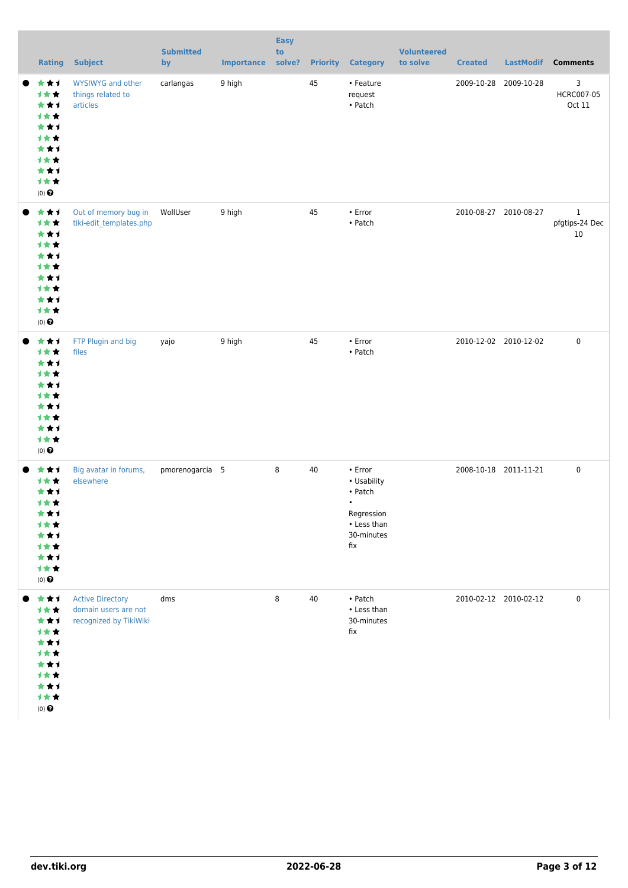| <b>Rating</b>                                                                          | <b>Subject</b>                                                            | <b>Submitted</b><br>by | <b>Importance</b> | <b>Easy</b><br>to<br>solve? |    | <b>Priority Category</b>                                                                         | <b>Volunteered</b><br>to solve | <b>Created</b>        | <b>LastModif</b>      | <b>Comments</b>                      |
|----------------------------------------------------------------------------------------|---------------------------------------------------------------------------|------------------------|-------------------|-----------------------------|----|--------------------------------------------------------------------------------------------------|--------------------------------|-----------------------|-----------------------|--------------------------------------|
| ***<br>1★★<br>***<br>计女女<br>***<br>1★★<br>***<br>***<br>***<br>1★★<br>$(0)$ $\Theta$   | WYSIWYG and other<br>things related to<br>articles                        | carlangas              | 9 high            |                             | 45 | • Feature<br>request<br>• Patch                                                                  |                                | 2009-10-28            | 2009-10-28            | 3<br>HCRC007-05<br>Oct 11            |
| ***<br>1★★<br>***<br>1★★<br>***<br>计女女<br>***<br>1★★<br>***<br>计女女<br>$(0)$ $\Theta$   | Out of memory bug in<br>tiki-edit_templates.php                           | WollUser               | 9 high            |                             | 45 | • Error<br>• Patch                                                                               |                                | 2010-08-27 2010-08-27 |                       | $\mathbf{1}$<br>pfgtips-24 Dec<br>10 |
| ***<br>1★★<br>***<br>1★★<br>***<br>计女女<br>***<br>→★★<br>***<br>1★★<br>$(0)$ $\odot$    | FTP Plugin and big<br>files                                               | yajo                   | 9 high            |                             | 45 | • Error<br>• Patch                                                                               |                                |                       | 2010-12-02 2010-12-02 | $\mathbf 0$                          |
| ***<br>1★★<br>***<br>计女女<br>***<br>计女女<br>***<br>计女女<br>***<br>1★★<br>$(0)$ $\bigodot$ | Big avatar in forums,<br>elsewhere                                        | pmorenogarcia 5        |                   | 8                           | 40 | • Error<br>• Usability<br>• Patch<br>$\bullet$<br>Regression<br>• Less than<br>30-minutes<br>fix |                                |                       | 2008-10-18 2011-11-21 | 0                                    |
| ***<br>计女女<br>***<br>计女女<br>***<br>计女女<br>***<br>计女女<br>***<br>1★★<br>$(0)$ $\bigodot$ | <b>Active Directory</b><br>domain users are not<br>recognized by TikiWiki | dms                    |                   | 8                           | 40 | • Patch<br>• Less than<br>30-minutes<br>fix                                                      |                                |                       | 2010-02-12 2010-02-12 | $\mathbf 0$                          |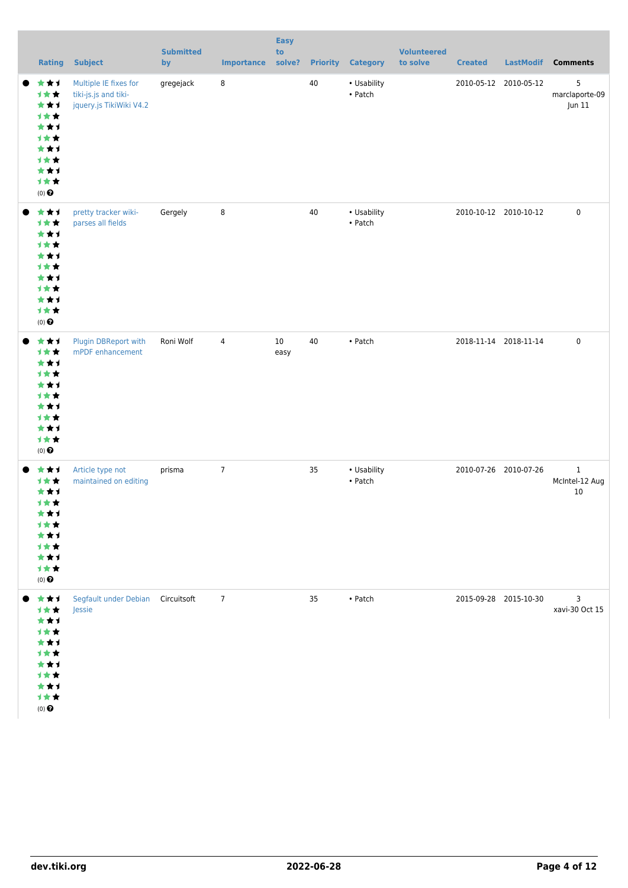|           | <b>Rating</b>                                                                                        | <b>Subject</b>                                                           | <b>Submitted</b><br>by | <b>Importance</b> | <b>Easy</b><br>to<br>solve? | <b>Priority</b> | <b>Category</b>                | <b>Volunteered</b><br>to solve | <b>Created</b>        | LastModif             | <b>Comments</b>                      |
|-----------|------------------------------------------------------------------------------------------------------|--------------------------------------------------------------------------|------------------------|-------------------|-----------------------------|-----------------|--------------------------------|--------------------------------|-----------------------|-----------------------|--------------------------------------|
|           | ***<br>***<br>***<br>1★★<br>***<br>1★★<br>***<br>1★★<br>***<br>1★★<br>$(0)$ $\bigodot$               | Multiple IE fixes for<br>tiki-js.js and tiki-<br>jquery.js TikiWiki V4.2 | gregejack              | 8                 |                             | $40\,$          | • Usability<br>• Patch         |                                |                       | 2010-05-12 2010-05-12 | 5<br>marclaporte-09<br>Jun 11        |
|           | ***<br>计女女<br>***<br><b>1★★</b><br>***<br><b>1★★</b><br>***<br>1★★<br>***<br>计女女<br>$(0)$ $\bigodot$ | pretty tracker wiki-<br>parses all fields                                | Gergely                | 8                 |                             | 40              | • Usability<br>$\bullet$ Patch |                                |                       | 2010-10-12 2010-10-12 | $\mathbf 0$                          |
|           | ***<br>1★★<br>***<br><b>1★★</b><br>***<br><b>1★★</b><br>***<br>1★★<br>***<br>1★★<br>$(0)$ $\bigodot$ | Plugin DBReport with<br>mPDF enhancement                                 | Roni Wolf              | $\overline{4}$    | $10\,$<br>easy              | 40              | • Patch                        |                                |                       | 2018-11-14 2018-11-14 | $\pmb{0}$                            |
|           | ***<br>1★★<br>***<br>1女女<br>***<br>1 * *<br>***<br>计女女<br>***<br>1★★<br>$(0)$<br>$\pmb{\Theta}$      | Article type not<br>maintained on editing                                | prisma                 | $\overline{7}$    |                             | 35              | • Usability<br>• Patch         |                                |                       | 2010-07-26 2010-07-26 | $\mathbf{1}$<br>McIntel-12 Aug<br>10 |
| $\bullet$ | 大大大<br>计女女<br>***<br>计女女<br>***<br>计女女<br>***<br>计女女<br>***<br>1★★<br>$(0)$ $\bigodot$               | Segfault under Debian Circuitsoft<br>Jessie                              |                        | $\overline{7}$    |                             | 35              | • Patch                        |                                | 2015-09-28 2015-10-30 |                       | 3<br>xavi-30 Oct 15                  |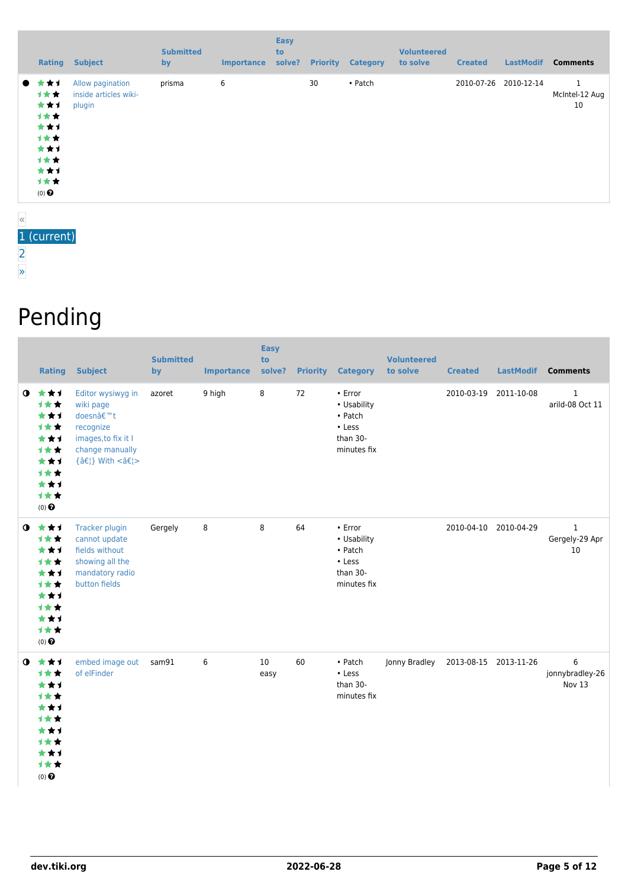| Rating                                                                                | <b>Subject</b>                                      | <b>Submitted</b><br>by | <b>Importance</b> | <b>Easy</b><br>to<br>solve? | <b>Priority</b> | <b>Category</b> | <b>Volunteered</b><br>to solve | <b>Created</b> | <b>LastModif</b>      | <b>Comments</b>      |
|---------------------------------------------------------------------------------------|-----------------------------------------------------|------------------------|-------------------|-----------------------------|-----------------|-----------------|--------------------------------|----------------|-----------------------|----------------------|
| ● ★★1<br>1★★<br>***<br>计女女<br>***<br>计女女<br>***<br>计女女<br>***<br>计女女<br>$(0)$ $\odot$ | Allow pagination<br>inside articles wiki-<br>plugin | prisma                 | 6                 |                             | 30              | • Patch         |                                |                | 2010-07-26 2010-12-14 | McIntel-12 Aug<br>10 |

#### « 1 (current) [2](https://dev.tiki.org/tiki-print.php?page=All+Patches&tr_offset1=20) [»](https://dev.tiki.org/tiki-print.php?page=All+Patches&tr_offset1=20)

## Pending

|           | <b>Rating</b>                                                                                  | <b>Subject</b>                                                                                                   | <b>Submitted</b><br>by | <b>Importance</b> | <b>Easy</b><br>to<br>solve? | <b>Priority</b> | <b>Category</b>                                                                | <b>Volunteered</b><br>to solve | <b>Created</b>        | <b>LastModif</b> | <b>Comments</b>                      |
|-----------|------------------------------------------------------------------------------------------------|------------------------------------------------------------------------------------------------------------------|------------------------|-------------------|-----------------------------|-----------------|--------------------------------------------------------------------------------|--------------------------------|-----------------------|------------------|--------------------------------------|
| $\bullet$ | ***<br><b>1**</b><br>***<br>计女女<br>***<br>1★★<br>***<br>***<br>***<br>1★★<br>$(0)$ $\odot$     | Editor wysiwyg in<br>wiki page<br>doesn't<br>recognize<br>images, to fix it I<br>change manually<br>{…} With <…> | azoret                 | 9 high            | 8                           | 72              | $\cdot$ Error<br>• Usability<br>• Patch<br>• Less<br>than 30-<br>minutes fix   |                                | 2010-03-19            | 2011-10-08       | $\mathbf{1}$<br>arild-08 Oct 11      |
| $\bullet$ | ***<br>1★★<br>***<br>***<br>***<br>1★★<br>***<br>计女女<br>***<br>1★★<br>$(0)$ $\odot$            | <b>Tracker plugin</b><br>cannot update<br>fields without<br>showing all the<br>mandatory radio<br>button fields  | Gergely                | 8                 | 8                           | 64              | • Error<br>• Usability<br>$\bullet$ Patch<br>• Less<br>than 30-<br>minutes fix |                                | 2010-04-10 2010-04-29 |                  | $\mathbf{1}$<br>Gergely-29 Apr<br>10 |
| $\bullet$ | ***<br><b>1**</b><br>***<br><b>1**</b><br>***<br><b>1**</b><br>***<br>计女女<br>***<br>1★★<br>(0) | embed image out<br>of elFinder                                                                                   | sam91                  | 6                 | 10<br>easy                  | 60              | • Patch<br>$\cdot$ Less<br>than 30-<br>minutes fix                             | Jonny Bradley                  | 2013-08-15 2013-11-26 |                  | 6<br>jonnybradley-26<br>Nov 13       |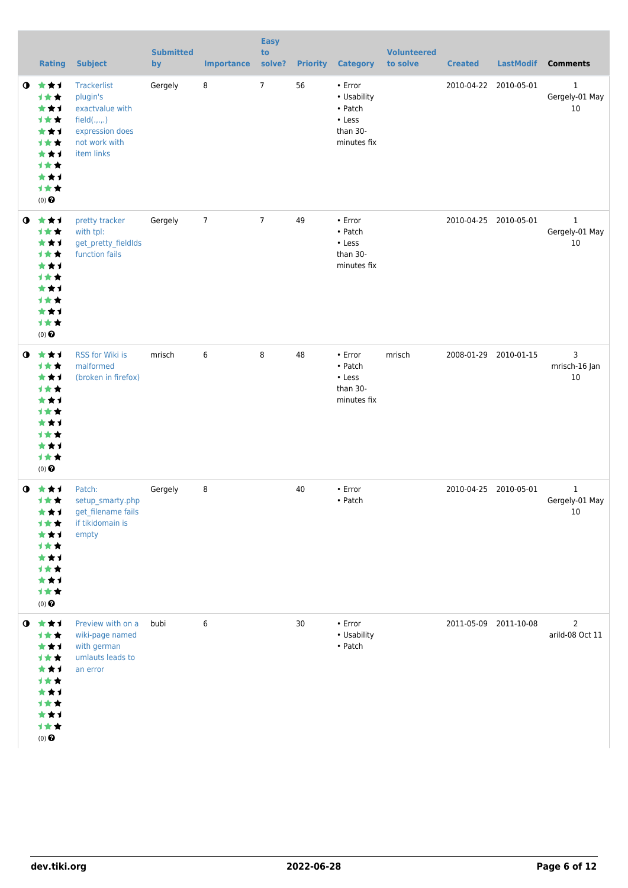|             | <b>Rating</b>                                                                                                           | <b>Subject</b>                                                                                               | <b>Submitted</b><br>by | <b>Importance</b> | <b>Easy</b><br>to<br>solve? | <b>Priority</b> | <b>Category</b>                                                              | <b>Volunteered</b><br>to solve | <b>Created</b>        | <b>LastModif</b>      | <b>Comments</b>                      |
|-------------|-------------------------------------------------------------------------------------------------------------------------|--------------------------------------------------------------------------------------------------------------|------------------------|-------------------|-----------------------------|-----------------|------------------------------------------------------------------------------|--------------------------------|-----------------------|-----------------------|--------------------------------------|
| $\mathbf o$ | 大女子<br>计女女<br>***<br>计女女<br>***<br>计女女<br>***<br><b>1**</b><br>***<br>1★★<br>$(0)$ <sup><math>\odot</math></sup>        | Trackerlist<br>plugin's<br>exactvalue with<br>field(.,.,.)<br>expression does<br>not work with<br>item links | Gergely                | 8                 | $\overline{7}$              | 56              | • Error<br>• Usability<br>• Patch<br>$\cdot$ Less<br>than 30-<br>minutes fix |                                | 2010-04-22 2010-05-01 |                       | $\mathbf{1}$<br>Gergely-01 May<br>10 |
| $\bullet$   | 大大才<br>计女女<br>***<br><b>1**</b><br>***<br>才女女<br>***<br><b>1**</b><br>***<br>1★★<br>$(0)$ <sup><math>\odot</math></sup> | pretty tracker<br>with tpl:<br>get_pretty_fieldIds<br>function fails                                         | Gergely                | $\overline{7}$    | $\overline{7}$              | 49              | • Error<br>• Patch<br>• Less<br>than 30-<br>minutes fix                      |                                |                       | 2010-04-25 2010-05-01 | $\mathbf{1}$<br>Gergely-01 May<br>10 |
| $\mathbf o$ | ***<br>计女女<br>***<br>计女女<br>***<br>计女女<br>***<br><b>1**</b><br>***<br>计女女<br>$(0)$ <sup><math>\odot</math></sup>        | RSS for Wiki is<br>malformed<br>(broken in firefox)                                                          | mrisch                 | 6                 | 8                           | 48              | $\cdot$ Error<br>• Patch<br>• Less<br>than 30-<br>minutes fix                | mrisch                         |                       | 2008-01-29 2010-01-15 | 3<br>mrisch-16 Jan<br>10             |
| $\bullet$   | 大女子<br>计女女<br>***<br><b>1★★</b><br>★★1<br>计女女<br>***<br>计女女<br>***<br>计女女<br>$(0)$<br>$\pmb{\Theta}$                    | Patch:<br>setup_smarty.php<br>get_filename fails<br>if tikidomain is<br>empty                                | Gergely                | 8                 |                             | 40              | • Error<br>• Patch                                                           |                                | 2010-04-25            | 2010-05-01            | $\mathbf{1}$<br>Gergely-01 May<br>10 |
| $\bullet$   | 食食す<br>计女女<br>***<br>计女女<br>***<br>计女女<br>***<br>才女女<br>★★1<br>计女女<br>$(0)$ <sup><math>\odot</math></sup>               | Preview with on a<br>wiki-page named<br>with german<br>umlauts leads to<br>an error                          | bubi                   | 6                 |                             | 30              | • Error<br>• Usability<br>• Patch                                            |                                |                       | 2011-05-09 2011-10-08 | $\overline{2}$<br>arild-08 Oct 11    |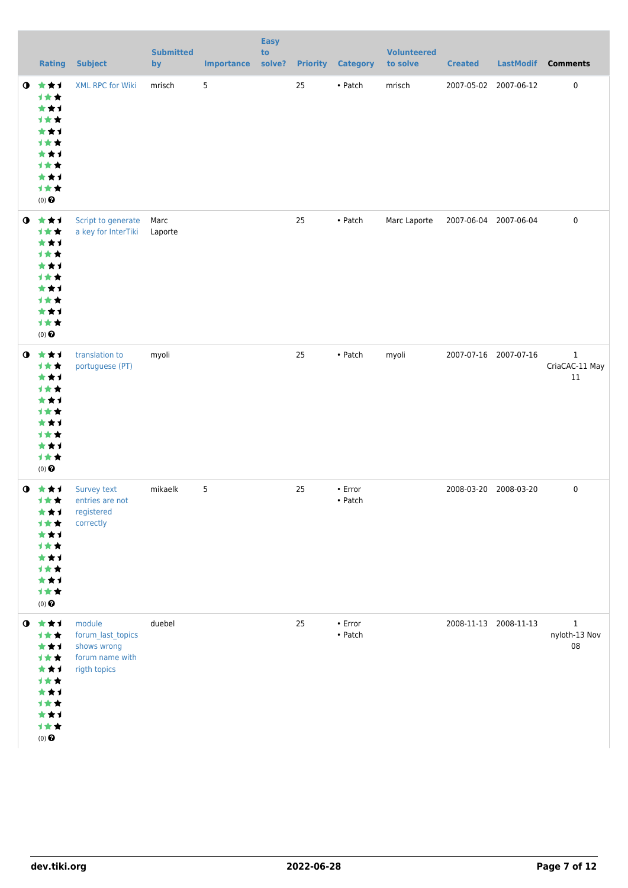|           | <b>Rating</b>                                                                                                                | <b>Subject</b>                                                                | <b>Submitted</b><br>by | <b>Importance</b> | <b>Easy</b><br>to<br>solve? |    | <b>Priority Category</b>           | <b>Volunteered</b><br>to solve | <b>Created</b>        | <b>LastModif</b>      | <b>Comments</b>                      |
|-----------|------------------------------------------------------------------------------------------------------------------------------|-------------------------------------------------------------------------------|------------------------|-------------------|-----------------------------|----|------------------------------------|--------------------------------|-----------------------|-----------------------|--------------------------------------|
| $\bullet$ | 大女子<br>计女女<br>***<br>计女女<br>***<br>1★★<br>***<br>才女女<br>***<br>1★★<br>$(0)$ $\odot$                                          | <b>XML RPC for Wiki</b>                                                       | mrisch                 | 5                 |                             | 25 | • Patch                            | mrisch                         | 2007-05-02            | 2007-06-12            | $\mathbf 0$                          |
|           | $0 \star \star \star$<br>计女女<br>***<br><b>1**</b><br>***<br>计女女<br>***<br>计女女<br>***<br>1★★<br>$(0)$ $\odot$                 | Script to generate<br>a key for InterTiki                                     | Marc<br>Laporte        |                   |                             | 25 | $\bullet$ Patch                    | Marc Laporte                   | 2007-06-04 2007-06-04 |                       | $\mathbf 0$                          |
| $\bullet$ | 大女子<br>计女女<br>***<br>计女女<br>***<br>计女女<br>***<br>计女女<br>***<br>计女女<br>$(0)$ $\odot$                                          | translation to<br>portuguese (PT)                                             | myoli                  |                   |                             | 25 | $\bullet$ Patch                    | myoli                          | 2007-07-16 2007-07-16 |                       | $\mathbf{1}$<br>CriaCAC-11 May<br>11 |
|           | $0 \star \star \star$<br>计女女<br>***<br>1 <del>*</del> *<br>***<br>1★★<br>***<br>计女女<br>***<br>计女女<br>$(0)$<br>$\pmb{\Theta}$ | Survey text<br>entries are not<br>registered<br>correctly                     | mikaelk                | 5                 |                             | 25 | $\bullet$ Error<br>$\bullet$ Patch |                                |                       | 2008-03-20 2008-03-20 | $\mathbf 0$                          |
|           | $0$ $\star\star\star$<br>计女女<br>***<br>计女女<br>***<br>计女女<br>***<br><b>1**</b><br>***<br>1★★<br>$(0)$ $\odot$                 | module<br>forum_last_topics<br>shows wrong<br>forum name with<br>rigth topics | duebel                 |                   |                             | 25 | $\bullet$ Error<br>$\bullet$ Patch |                                | 2008-11-13 2008-11-13 |                       | $\mathbf{1}$<br>nyloth-13 Nov<br>08  |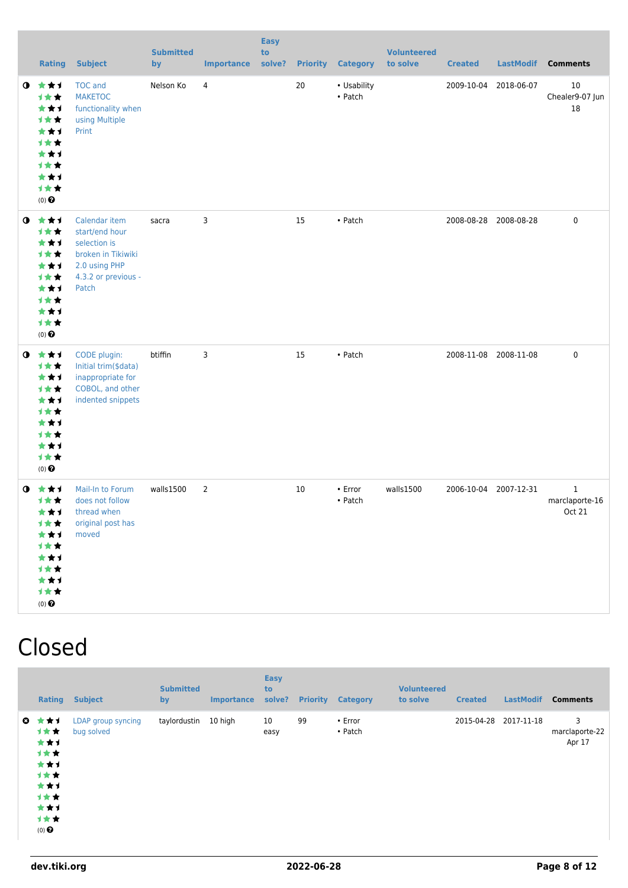|           | <b>Rating</b>                                                                                 | <b>Subject</b>                                                                                                         | <b>Submitted</b><br>by | <b>Importance</b> | <b>Easy</b><br>to<br>solve? |    | <b>Priority Category</b> | <b>Volunteered</b><br>to solve | <b>Created</b> | <b>LastModif</b>      | <b>Comments</b>               |
|-----------|-----------------------------------------------------------------------------------------------|------------------------------------------------------------------------------------------------------------------------|------------------------|-------------------|-----------------------------|----|--------------------------|--------------------------------|----------------|-----------------------|-------------------------------|
| $\bullet$ | 大大士<br>计女女<br>***<br>1★★<br>***<br>1★★<br>★★1<br>计女女<br>★★1<br>计女女<br>$(0)$<br>$\pmb{\Theta}$ | <b>TOC</b> and<br><b>MAKETOC</b><br>functionality when<br>using Multiple<br>Print                                      | Nelson Ko              | $\overline{4}$    |                             | 20 | • Usability<br>• Patch   |                                | 2009-10-04     | 2018-06-07            | 10<br>Chealer9-07 Jun<br>18   |
| $\bullet$ | 食食す<br>计女女<br>***<br>计女女<br>***<br>计女女<br>***<br>1★★<br>***<br>计女女<br>$(0)$ $\odot$           | Calendar item<br>start/end hour<br>selection is<br>broken in Tikiwiki<br>2.0 using PHP<br>4.3.2 or previous -<br>Patch | sacra                  | 3                 |                             | 15 | • Patch                  |                                |                | 2008-08-28 2008-08-28 | $\pmb{0}$                     |
| $\bullet$ | 女女子<br>计女女<br>***<br>1★★<br>***<br>计女女<br>***<br>计女女<br>***<br>1★★<br>$(0)$<br>$\pmb{\Theta}$ | CODE plugin:<br>Initial trim(\$data)<br>inappropriate for<br>COBOL, and other<br>indented snippets                     | btiffin                | 3                 |                             | 15 | • Patch                  |                                |                | 2008-11-08 2008-11-08 | $\pmb{0}$                     |
| $\bullet$ | ***<br>计女女<br>***<br>计女女<br>***<br>1★★<br>***<br>计女女<br>***<br>计女女<br>$(0)$ $\odot$           | Mail-In to Forum<br>does not follow<br>thread when<br>original post has<br>moved                                       | walls1500              | $\overline{2}$    |                             | 10 | • Error<br>• Patch       | walls1500                      | 2006-10-04     | 2007-12-31            | 1<br>marclaporte-16<br>Oct 21 |

## Closed

| <b>Rating</b>                                                                         | <b>Subject</b>                   | <b>Submitted</b><br>by | <b>Importance</b> | <b>Easy</b><br>to<br>solve? | <b>Priority</b> | <b>Category</b>          | <b>Volunteered</b><br>to solve | <b>Created</b> | <b>LastModif</b> | <b>Comments</b>               |
|---------------------------------------------------------------------------------------|----------------------------------|------------------------|-------------------|-----------------------------|-----------------|--------------------------|--------------------------------|----------------|------------------|-------------------------------|
| ◎ ★★1<br>计女女<br>***<br>计女女<br>***<br>计女女<br>***<br>计女女<br>***<br>计女女<br>$(0)$ $\odot$ | LDAP group syncing<br>bug solved | taylordustin           | 10 high           | 10<br>easy                  | 99              | $\cdot$ Error<br>• Patch |                                | 2015-04-28     | 2017-11-18       | 3<br>marclaporte-22<br>Apr 17 |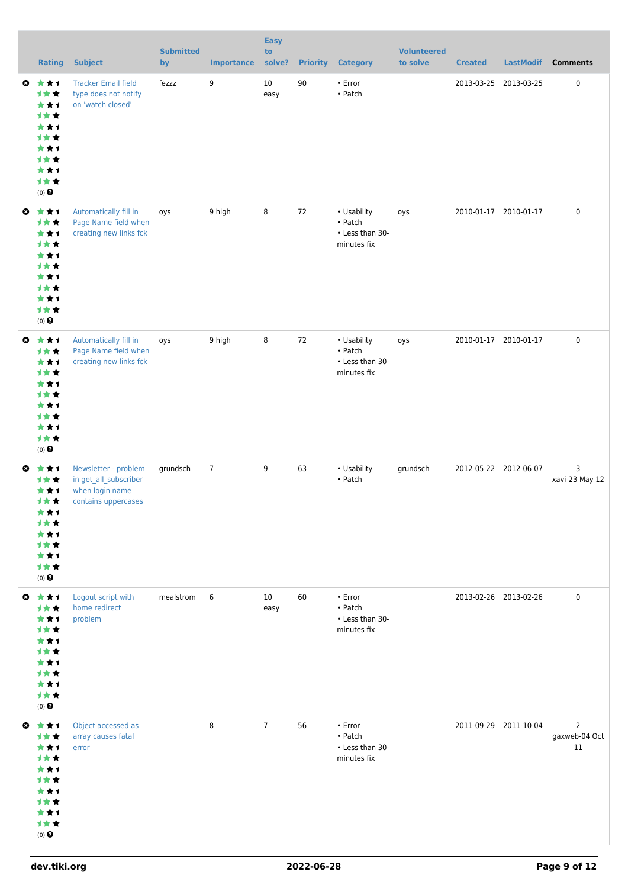|           | <b>Rating</b>                                                                                                            | <b>Subject</b>                                                                          | <b>Submitted</b><br>by | <b>Importance</b> | <b>Easy</b><br>to<br>solve? |    | <b>Priority Category</b>                                   | <b>Volunteered</b><br>to solve | <b>Created</b> | <b>LastModif</b>      | <b>Comments</b>                       |
|-----------|--------------------------------------------------------------------------------------------------------------------------|-----------------------------------------------------------------------------------------|------------------------|-------------------|-----------------------------|----|------------------------------------------------------------|--------------------------------|----------------|-----------------------|---------------------------------------|
| ◎         | 大女子<br>***<br>***<br>1★★<br>***<br><b>1**</b><br>***<br><b>1**</b><br>***<br>计女女<br>$(0)$ $\odot$                        | <b>Tracker Email field</b><br>type does not notify<br>on 'watch closed'                 | fezzz                  | 9                 | 10<br>easy                  | 90 | $\cdot$ Error<br>• Patch                                   |                                |                | 2013-03-25 2013-03-25 | 0                                     |
|           | ◎ ★★1<br>计女女<br>***<br>计女女<br>***<br><b>1**</b><br>***<br><b>1**</b><br>***<br>计女女<br>$(0)$ $\bigodot$                   | Automatically fill in<br>Page Name field when<br>creating new links fck                 | oys                    | 9 high            | 8                           | 72 | • Usability<br>• Patch<br>• Less than 30-<br>minutes fix   | oys                            |                | 2010-01-17 2010-01-17 | 0                                     |
| $\bullet$ | 大女子<br>1★★<br>***<br>计女女<br>***<br><b>1**</b><br>***<br>计女女<br>***<br>计女女<br>$(0)$<br>$\pmb{\Theta}$                     | Automatically fill in<br>Page Name field when<br>creating new links fck                 | oys                    | 9 high            | 8                           | 72 | • Usability<br>• Patch<br>• Less than 30-<br>minutes fix   | oys                            |                | 2010-01-17 2010-01-17 | 0                                     |
| $\bullet$ | ***<br>1★★<br>***<br><b>1**</b><br>***<br>1★★<br>***<br><b>1**</b><br>***<br>计女女<br>$(0)$ $\odot$                        | Newsletter - problem<br>in get_all_subscriber<br>when login name<br>contains uppercases | grundsch               | $\overline{7}$    | 9                           | 63 | • Usability<br>• Patch                                     | grundsch                       |                | 2012-05-22 2012-06-07 | 3<br>xavi-23 May 12                   |
|           | ◎ ★★1<br>1★★<br>***<br>计女女<br>***<br><b>1**</b><br>***<br>计女女<br>***<br>计女女<br>$(0)$<br>$\pmb{\Theta}$                   | Logout script with<br>home redirect<br>problem                                          | mealstrom              | 6                 | 10<br>easy                  | 60 | $\cdot$ Error<br>• Patch<br>• Less than 30-<br>minutes fix |                                |                | 2013-02-26 2013-02-26 | 0                                     |
|           | $0$ $\star$ $\star$ $1$<br>1★★<br>***<br>计女女<br>***<br><b>1**</b><br>***<br><b>1**</b><br>***<br>计女女<br>$(0)$ $\bigodot$ | Object accessed as<br>array causes fatal<br>error                                       |                        | 8                 | $\overline{7}$              | 56 | $\cdot$ Error<br>• Patch<br>• Less than 30-<br>minutes fix |                                |                | 2011-09-29 2011-10-04 | $\overline{2}$<br>gaxweb-04 Oct<br>11 |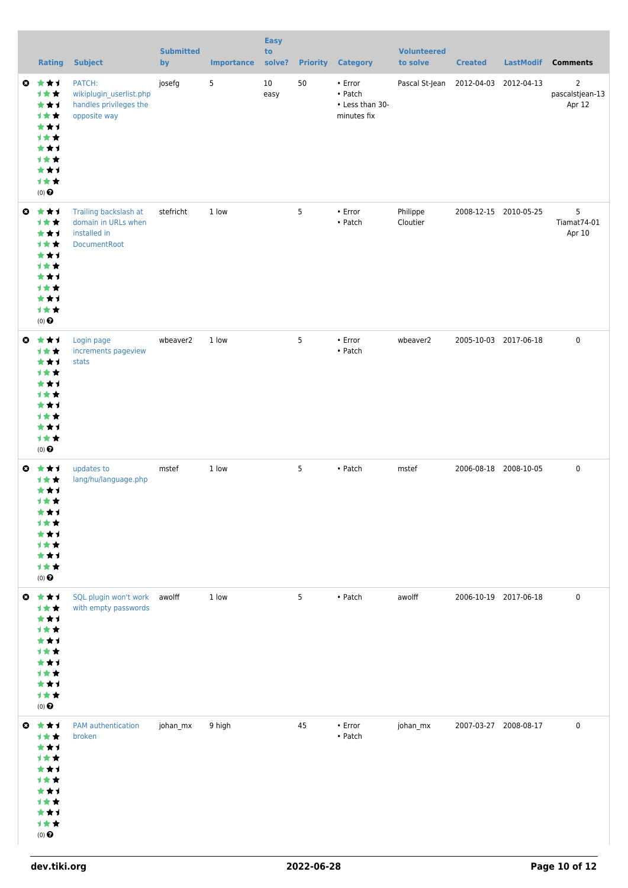|              | <b>Rating</b>                                                                                                     | <b>Subject</b>                                                                      | <b>Submitted</b><br>by | <b>Importance</b> | <b>Easy</b><br>to<br>solve? |    | <b>Priority Category</b>                                   | <b>Volunteered</b><br>to solve       | <b>Created</b>        | <b>LastModif</b>      | <b>Comments</b>                             |
|--------------|-------------------------------------------------------------------------------------------------------------------|-------------------------------------------------------------------------------------|------------------------|-------------------|-----------------------------|----|------------------------------------------------------------|--------------------------------------|-----------------------|-----------------------|---------------------------------------------|
|              | $0 \star \star \star$<br>计女女<br>***<br>1★★<br>***<br>1★★<br>***<br>计女女<br>***<br>1★★<br>$(0)$ $\Theta$            | PATCH:<br>wikiplugin_userlist.php<br>handles privileges the<br>opposite way         | josefg                 | 5                 | 10<br>easy                  | 50 | $\cdot$ Error<br>• Patch<br>• Less than 30-<br>minutes fix | Pascal St-Jean 2012-04-03 2012-04-13 |                       |                       | $\overline{2}$<br>pascalstjean-13<br>Apr 12 |
| $\mathbf{c}$ | ***<br>1★★<br>***<br>计女女<br>***<br>1★★<br>***<br>计女女<br>***<br>1★★<br>$(0)$ $\Theta$                              | Trailing backslash at<br>domain in URLs when<br>installed in<br><b>DocumentRoot</b> | stefricht              | 1 low             |                             | 5  | $\cdot$ Error<br>• Patch                                   | Philippe<br>Cloutier                 | 2008-12-15 2010-05-25 |                       | 5<br>Tiamat74-01<br>Apr 10                  |
| $\bullet$    | 大女子<br>1★★<br>***<br>1★★<br>***<br><b>1**</b><br>***<br>1★★<br>***<br>1★★<br>$(0)$ $\Theta$                       | Login page<br>increments pageview<br>stats                                          | wbeaver2               | 1 low             |                             | 5  | • Error<br>• Patch                                         | wbeaver2                             |                       | 2005-10-03 2017-06-18 | $\mathbf 0$                                 |
|              | ◎ ★★1<br>计女女<br>***<br>计女女<br>***<br><b>1**</b><br>***<br>计女女<br>***<br>计女女<br>$(0)$ $\odot$                      | updates to<br>lang/hu/language.php                                                  | mstef                  | 1 low             |                             | 5  | • Patch                                                    | mstef                                | 2006-08-18 2008-10-05 |                       | $\mathbf 0$                                 |
|              | $0$ $\star$ $\star$ $1$<br>计女女<br>***<br>计女女<br>***<br>计女女<br>***<br>计女女<br>***<br>计女女<br>$(0)$<br>$\pmb{\Theta}$ | SQL plugin won't work awolff<br>with empty passwords                                |                        | 1 low             |                             | 5  | • Patch                                                    | awolff                               | 2006-10-19 2017-06-18 |                       | $\pmb{0}$                                   |
|              | $0$ $\star$ $\star$ $1$<br>1★★<br>***<br>计女女<br>***<br>1★★<br>***<br>计女女<br>***<br>计女女<br>$(0)$<br>$\pmb{\Theta}$ | PAM authentication<br>broken                                                        | johan_mx               | 9 high            |                             | 45 | $\cdot$ Error<br>• Patch                                   | johan_mx                             | 2007-03-27 2008-08-17 |                       | $\mathbf 0$                                 |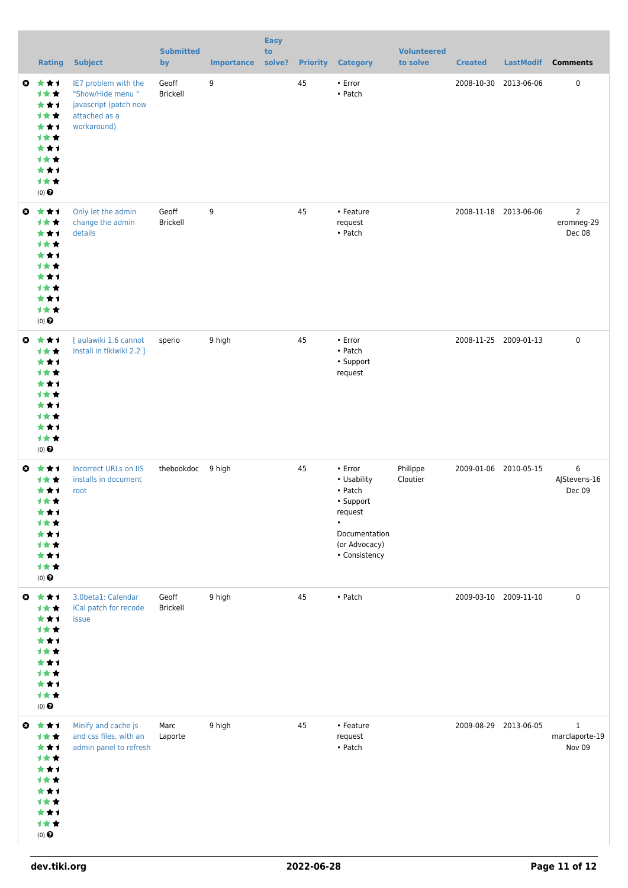|           | <b>Rating</b>                                                                                          | <b>Subject</b>                                                                                    | <b>Submitted</b><br>by   | <b>Importance</b> | <b>Easy</b><br>to<br>solve? |    | <b>Priority Category</b>                                                                                                        | <b>Volunteered</b><br>to solve | <b>Created</b> | <b>LastModif</b>      | <b>Comments</b>                          |
|-----------|--------------------------------------------------------------------------------------------------------|---------------------------------------------------------------------------------------------------|--------------------------|-------------------|-----------------------------|----|---------------------------------------------------------------------------------------------------------------------------------|--------------------------------|----------------|-----------------------|------------------------------------------|
|           | ◎ ★★1<br>1★★<br>***<br>1★★<br>***<br>1★★<br>***<br>计女女<br>***<br>1★★<br>$(0)$ $\Theta$                 | IE7 problem with the<br>"Show/Hide menu"<br>javascript (patch now<br>attached as a<br>workaround) | Geoff<br><b>Brickell</b> | 9                 |                             | 45 | $\cdot$ Error<br>• Patch                                                                                                        |                                | 2008-10-30     | 2013-06-06            | 0                                        |
| $\bullet$ | ***<br>计女女<br>***<br>1★★<br>***<br>1★★<br>***<br>计女女<br>***<br>1★★<br>$(0)$ $\Theta$                   | Only let the admin<br>change the admin<br>details                                                 | Geoff<br>Brickell        | 9                 |                             | 45 | • Feature<br>request<br>• Patch                                                                                                 |                                |                | 2008-11-18 2013-06-06 | $\overline{2}$<br>eromneg-29<br>Dec 08   |
| O         | ***<br>计女女<br>***<br>计女女<br>***<br>计女女<br>***<br>计女女<br>***<br>1★★<br>$(0)$ $\Theta$                   | [ aulawiki 1.6 cannot<br>install in tikiwiki 2.2 ]                                                | sperio                   | 9 high            |                             | 45 | • Error<br>• Patch<br>• Support<br>request                                                                                      |                                |                | 2008-11-25 2009-01-13 | 0                                        |
| O         | ***<br>1 * *<br>***<br>1★★<br>***<br><b>1**</b><br>***<br>计女女<br>***<br>计女女<br>$(0)$<br>$\pmb{\Theta}$ | <b>Incorrect URLs on IIS</b><br>installs in document<br>root                                      | thebookdoc 9 high        |                   |                             | 45 | $\cdot$ Error<br>• Usability<br>• Patch<br>• Support<br>request<br>$\bullet$<br>Documentation<br>(or Advocacy)<br>• Consistency | Philippe<br>Cloutier           |                | 2009-01-06 2010-05-15 | 6<br>AJStevens-16<br>Dec 09              |
|           | ◎ ★★1<br>计女女<br>***<br>计女女<br>***<br>计女女<br>***<br>计女女<br>***<br>计女女<br>$(0)$<br>$\pmb{\Theta}$        | 3.0beta1: Calendar<br>iCal patch for recode<br>issue                                              | Geoff<br>Brickell        | 9 high            |                             | 45 | • Patch                                                                                                                         |                                |                | 2009-03-10 2009-11-10 | 0                                        |
| $\bullet$ | ***<br>计女女<br>***<br>计女女<br>***<br>计女女<br>***<br>计女女<br>***<br>计女女<br>$(0)$<br>$\pmb{\Theta}$          | Minify and cache js<br>and css files, with an<br>admin panel to refresh                           | Marc<br>Laporte          | 9 high            |                             | 45 | • Feature<br>request<br>$\bullet$ Patch                                                                                         |                                |                | 2009-08-29 2013-06-05 | $\mathbf{1}$<br>marclaporte-19<br>Nov 09 |